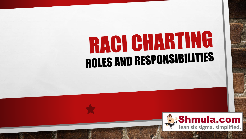# RACI CHARTING **ROLES AND RESPONSIBILITIES**

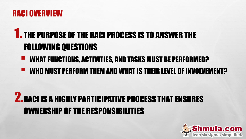#### RACI OVERVIEW

## 1. THE PURPOSE OF THE RACI PROCESS IS TO ANSWER THE FOLLOWING QUESTIONS

- WHAT FUNCTIONS, ACTIVITIES, AND TASKS MUST BE PERFORMED?
- WHO MUST PERFORM THEM AND WHAT IS THEIR LEVEL OF INVOLVEMENT?

# 2.RACI IS A HIGHLY PARTICIPATIVE PROCESS THAT ENSURES OWNERSHIP OF THE RESPONSIBILITIES

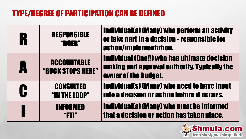#### TYPE/DEGREE OF PARTICIPATION CAN BE DEFINED

| $\begin{bmatrix} 1 \\ 1 \end{bmatrix}$ | <b>RESPONSIBLE</b><br>"DOER"            | <b>Individual(s) (Many) who perform an activity</b><br>or take part in a decision - responsible for<br>action/implementation. |
|----------------------------------------|-----------------------------------------|-------------------------------------------------------------------------------------------------------------------------------|
| A                                      | <b>ACCOUNTABLE</b><br>"BUCK STOPS HERE" | <b>Individual (One!!) who has ultimate decision</b><br>making and approval authority. Typically the<br>owner of the budget.   |
| C                                      | <b>CONSULTED</b><br>"IN THE LOOP"       | <b>Individual(s) (Many) who need to have input</b><br>into a decision or action before it occurs.                             |
|                                        | INFORMED<br>"FYI"                       | <b>Individual(s) (Many) who must be informed</b><br>that a decision or action has taken place.                                |

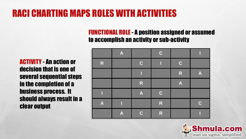### RACI CHARTING MAPS ROLES WITH ACTIVITIES

FUNCTIONAL ROLE - A position assigned or assumed to accomplish an activity or sub-activity

ACTIVITY - An action or decision that is one of several sequential steps in the completion of a business process. It should always result in a clear output

|                  | $\blacktriangle$ |                         | $\mathbf C$  |                  |                  |
|------------------|------------------|-------------------------|--------------|------------------|------------------|
| R                |                  | $\mathbf C$             | П            | $\mathbf C$      |                  |
|                  |                  | η                       |              | $\mathsf{R}$     | $\boldsymbol{A}$ |
|                  |                  | $\overline{\mathsf{R}}$ |              | $\blacktriangle$ |                  |
|                  |                  | $\blacktriangle$        | $\mathbf C$  |                  |                  |
| $\boldsymbol{A}$ |                  |                         | ${\sf R}$    |                  | $\mathbf C$      |
|                  | A                | $\mathbf C$             | $\mathsf{R}$ |                  |                  |